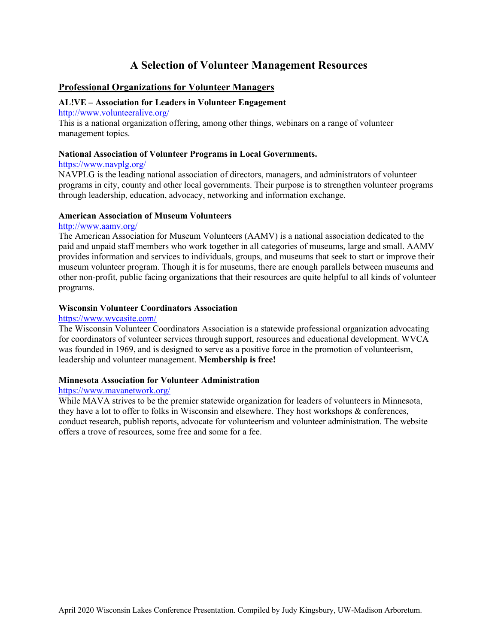# **A Selection of Volunteer Management Resources**

# **Professional Organizations for Volunteer Managers**

# **AL!VE – Association for Leaders in Volunteer Engagement**

http://www.volunteeralive.org/

This is a national organization offering, among other things, webinars on a range of volunteer management topics.

#### **National Association of Volunteer Programs in Local Governments.**

## https://www.navplg.org/

NAVPLG is the leading national association of directors, managers, and administrators of volunteer programs in city, county and other local governments. Their purpose is to strengthen volunteer programs through leadership, education, advocacy, networking and information exchange.

## **American Association of Museum Volunteers**

#### http://www.aamv.org/

The American Association for Museum Volunteers (AAMV) is a national association dedicated to the paid and unpaid staff members who work together in all categories of museums, large and small. AAMV provides information and services to individuals, groups, and museums that seek to start or improve their museum volunteer program. Though it is for museums, there are enough parallels between museums and other non-profit, public facing organizations that their resources are quite helpful to all kinds of volunteer programs.

## **Wisconsin Volunteer Coordinators Association**

#### https://www.wvcasite.com/

The Wisconsin Volunteer Coordinators Association is a statewide professional organization advocating for coordinators of volunteer services through support, resources and educational development. WVCA was founded in 1969, and is designed to serve as a positive force in the promotion of volunteerism, leadership and volunteer management. **Membership is free!**

## **Minnesota Association for Volunteer Administration**

## https://www.mavanetwork.org/

While MAVA strives to be the premier statewide organization for leaders of volunteers in Minnesota, they have a lot to offer to folks in Wisconsin and elsewhere. They host workshops & conferences, conduct research, publish reports, advocate for volunteerism and volunteer administration. The website offers a trove of resources, some free and some for a fee.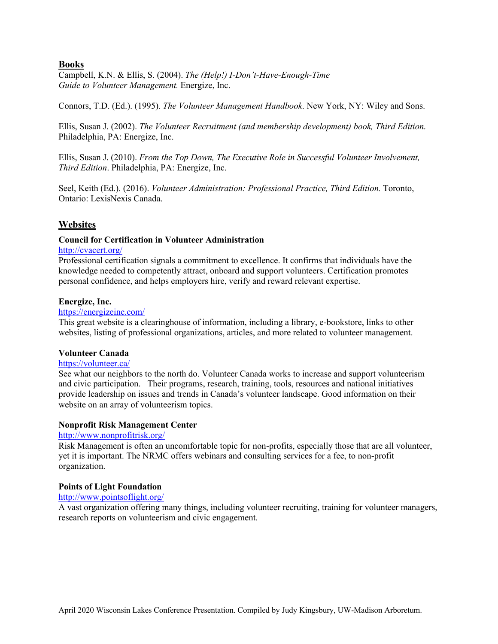# **Books**

Campbell, K.N. & Ellis, S. (2004). *The (Help!) I-Don't-Have-Enough-Time Guide to Volunteer Management.* Energize, Inc.

Connors, T.D. (Ed.). (1995). *The Volunteer Management Handbook*. New York, NY: Wiley and Sons.

Ellis, Susan J. (2002). *The Volunteer Recruitment (and membership development) book, Third Edition*. Philadelphia, PA: Energize, Inc.

Ellis, Susan J. (2010). *From the Top Down, The Executive Role in Successful Volunteer Involvement, Third Edition*. Philadelphia, PA: Energize, Inc.

Seel, Keith (Ed.). (2016). *Volunteer Administration: Professional Practice, Third Edition.* Toronto, Ontario: LexisNexis Canada.

# **Websites**

## **Council for Certification in Volunteer Administration**

## http://cvacert.org/

Professional certification signals a commitment to excellence. It confirms that individuals have the knowledge needed to competently attract, onboard and support volunteers. Certification promotes personal confidence, and helps employers hire, verify and reward relevant expertise.

#### **Energize, Inc.**

#### https://energizeinc.com/

This great website is a clearinghouse of information, including a library, e-bookstore, links to other websites, listing of professional organizations, articles, and more related to volunteer management.

## **Volunteer Canada**

#### https://volunteer.ca/

See what our neighbors to the north do. Volunteer Canada works to increase and support volunteerism and civic participation. Their programs, research, training, tools, resources and national initiatives provide leadership on issues and trends in Canada's volunteer landscape. Good information on their website on an array of volunteerism topics.

#### **Nonprofit Risk Management Center**

### http://www.nonprofitrisk.org/

Risk Management is often an uncomfortable topic for non-profits, especially those that are all volunteer, yet it is important. The NRMC offers webinars and consulting services for a fee, to non-profit organization.

#### **Points of Light Foundation**

#### http://www.pointsoflight.org/

A vast organization offering many things, including volunteer recruiting, training for volunteer managers, research reports on volunteerism and civic engagement.